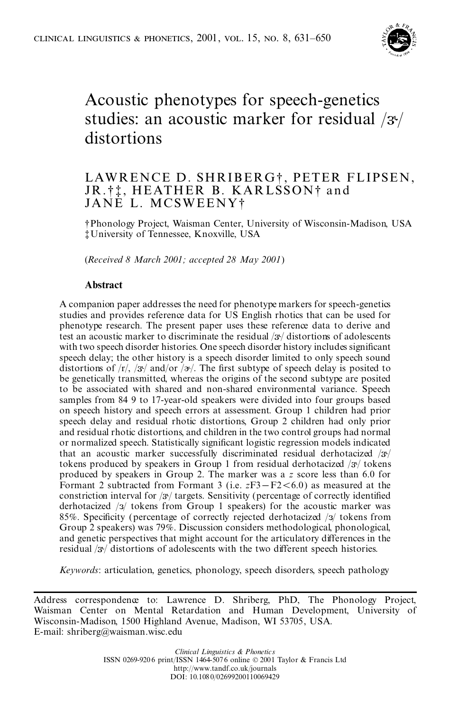

# Acoustic phenotypes for speech-genetics studies: an acoustic marker for residual  $/3/$ distortions

# LAWRENCE D. SHRIBERG<sup>†</sup>, PETER FLIPSEN, JR.<sup>†</sup>  $\ddagger$ , HEATHER B. KARLSSON<sup>†</sup> and JANE L. MCSWEENY²

² Phonology Project, Waisman Center, University of Wisconsin-Madison, USA ³ University of Tennessee, Knoxville, USA

(*Received 8 March 2001; accepted 28 May 2001*)

# **Abstract**

A companion paper addresses the need for phenotype markers for speech-genetics studies and provides reference data for US English rhotics that can be used for phenotype research. The present paper uses these reference data to derive and test an acoustic marker to discriminate the residual  $/3$  distortions of adolescents with two speech disorder histories. One speech disorder history includes significant speech delay; the other history is a speech disorder limited to only speech sound distortions of  $\langle r \rangle$ ,  $\langle 3r \rangle$  and/or  $\langle 2r \rangle$ . The first subtype of speech delay is posited to be genetically transmitted, whereas the origins of the second subtype are posited to be associated with shared and non-shared environmental variance. Speech samples from 84 9 to 17-year-old speakers were divided into four groups based on speech history and speech errors at assessment. Group 1 children had prior speech delay and residual rhotic distortions, Group 2 children had only prior and residual rhotic distortions, and children in the two control groups had normal or normalized speech. Statistically significant logistic regression models indicated that an acoustic marker successfully discriminated residual derhotacized  $/3$ <sup>t</sup>/ tokens produced by speakers in Group 1 from residual derhotacized  $/3$ <sup>t</sup> tokens produced by speakers in Group 2. The marker was a *z* score less than 6.0 for Formant 2 subtracted from Formant 3 (i.e.  $zF3-F2<6.0$ ) as measured at the constriction interval for  $/3$  targets. Sensitivity (percentage of correctly identified derhotacized  $\sqrt{3}$  tokens from Group 1 speakers) for the acoustic marker was 85%. Specificity (percentage of correctly rejected derhotacized  $/3/$  tokens from Group 2 speakers) was 79%. Discussion considers methodological, phonological, and genetic perspectives that might account for the articulatory differences in the residual  $/3$ <sup> $/$ </sup> distortions of adolescents with the two different speech histories.

*Keywords*: articulation, genetics, phonology, speech disorders, speech pathology

Address correspondence to: Lawrence D. Shriberg, PhD, The Phonology Project, Waisman Center on Mental Retardation and Human Development, University of Wisconsin-Madison, 1500 Highland Avenue, Madison, WI 53705, USA. E-mail: shriberg@waisman.wisc.edu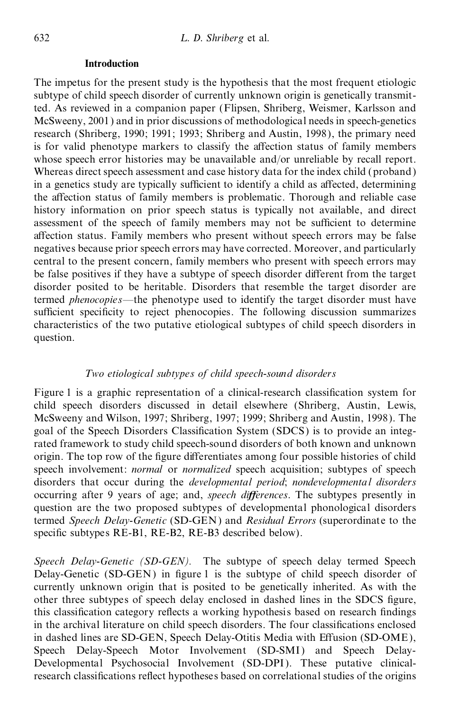# **Introduction**

The impetus for the present study is the hypothesis that the most frequent etiologic subtype of child speech disorder of currently unknown origin is genetically transmitted. As reviewed in a companion paper (Flipsen, Shriberg, Weismer, Karlsson and McSweeny, 2001) and in prior discussions of methodological needs in speech-genetics research (Shriberg, 1990; 1991; 1993; Shriberg and Austin, 1998), the primary need is for valid phenotype markers to classify the affection status of family members whose speech error histories may be unavailable and/or unreliable by recall report. Whereas direct speech assessment and case history data for the index child (proband) in a genetics study are typically sufficient to identify a child as affected, determining the affection status of family members is problematic. Thorough and reliable case history information on prior speech status is typically not available, and direct assessment of the speech of family members may not be sufficient to determine affection status. Family members who present without speech errors may be false negatives because prior speech errors may have corrected. Moreover, and particularly central to the present concern, family members who present with speech errors may be false positives if they have a subtype of speech disorder different from the target disorder posited to be heritable. Disorders that resemble the target disorder are termed *phenocopies*—the phenotype used to identify the target disorder must have sufficient specificity to reject phenocopies. The following discussion summarizes characteristics of the two putative etiological subtypes of child speech disorders in question.

# *Two etiological subtypes of child speech-sound disorders*

Figure 1 is a graphic representation of a clinical-research classification system for child speech disorders discussed in detail elsewhere (Shriberg, Austin, Lewis, McSweeny and Wilson, 1997; Shriberg, 1997; 1999; Shriberg and Austin, 1998). The goal of the Speech Disorders Classification System (SDCS) is to provide an integrated framework to study child speech-sound disorders of both known and unknown origin. The top row of the figure differentiates among four possible histories of child speech involvement: *normal* or *normalized* speech acquisition; subtypes of speech disorders that occur during the *developmental period*; *nondevelopmental disorders* occurring after 9 years of age; and, *speech differences*. The subtypes presently in question are the two proposed subtypes of developmental phonological disorders termed *Speech Delay-Genetic* (SD-GEN) and *Residual Errors* (superordinate to the specific subtypes RE-B1, RE-B2, RE-B3 described below).

*Speech Delay-Genetic (SD-GEN).* The subtype of speech delay termed Speech Delay-Genetic (SD-GEN) in figure 1 is the subtype of child speech disorder of currently unknown origin that is posited to be genetically inherited. As with the other three subtypes of speech delay enclosed in dashed lines in the SDCS figure, this classification category reflects a working hypothesis based on research findings in the archival literature on child speech disorders. The four classifications enclosed in dashed lines are SD-GEN, Speech Delay-Otitis Media with Effusion (SD-OME), Speech Delay-Speech Motor Involvement (SD-SMI) and Speech Delay- Developmental Psychosocial Involvement (SD-DPI). These putative clinical research classifications reflect hypotheses based on correlational studies of the origins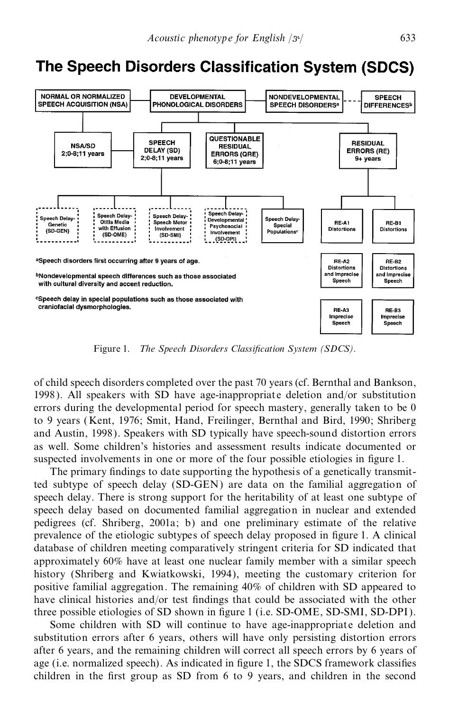# The Speech Disorders Classification System (SDCS)



Figure 1. *The Speech Disorders Classification System (SDCS).* 

of child speech disorders completed over the past 70 years (cf. Bernthal and Bankson, 1998). All speakers with SD have age-inappropriat e deletion and/or substitution errors during the developmental period for speech mastery, generally taken to be 0 to 9 years (Kent, 1976; Smit, Hand, Freilinger, Bernthal and Bird, 1990; Shriberg and Austin, 1998). Speakers with SD typically have speech-sound distortion errors as well. Some children's histories and assessment results indicate documented or suspected involvements in one or more of the four possible etiologies in figure 1.

The primary findings to date supporting the hypothesis of a genetically transmitted subtype of speech delay (SD-GEN) are data on the familial aggregation of speech delay. There is strong support for the heritability of at least one subtype of speech delay based on documented familial aggregation in nuclear and extended pedigrees (cf. Shriberg, 2001a; b) and one preliminary estimate of the relative prevalence of the etiologic subtypes of speech delay proposed in figure 1. A clinical database of children meeting comparatively stringent criteria for SD indicated that approximately 60% have at least one nuclear family member with a similar speech history (Shriberg and Kwiatkowski, 1994), meeting the customary criterion for positive familial aggregation. The remaining 40% of children with SD appeared to have clinical histories and/or test findings that could be associated with the other three possible etiologies of SD shown in figure 1 (i.e.  $SD-OME$ ,  $SD-SMI$ ,  $SD-DPI$ ).

Some children with SD will continue to have age-inappropriate deletion and substitution errors after 6 years, others will have only persisting distortion errors after 6 years, and the remaining children will correct all speech errors by 6 years of age (i.e. normalized speech). As indicated in figure 1, the SDCS framework classifies children in the first group as SD from  $6$  to 9 years, and children in the second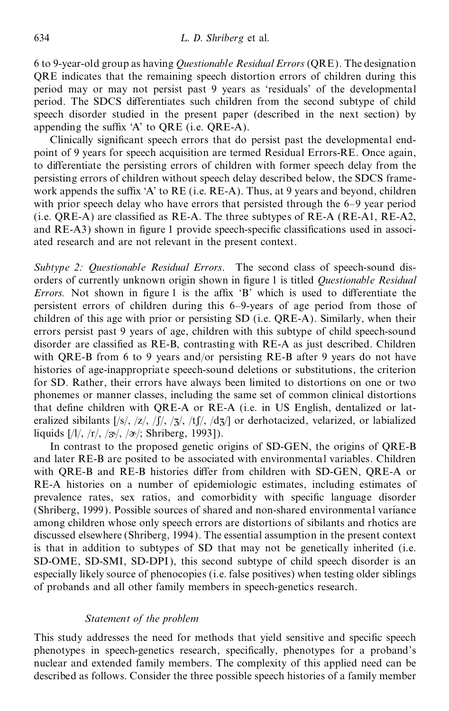6 to 9-year-old group as having *Questionable Residual Errors* (QRE). The designation QRE indicates that the remaining speech distortion errors of children during this period may or may not persist past 9 years as `residuals' of the developmental period. The SDCS differentiates such children from the second subtype of child speech disorder studied in the present paper (described in the next section) by appending the suffix  $A'$  to QRE (i.e. QRE-A).

Clinically significant speech errors that do persist past the developmental endpoint of 9 years for speech acquisition are termed Residual Errors-RE. Once again, to differentiate the persisting errors of children with former speech delay from the persisting errors of children without speech delay described below, the SDCS frame work appends the suffix 'A' to RE (i.e. RE-A). Thus, at 9 years and beyond, children with prior speech delay who have errors that persisted through the 6–9 year period  $(i.e. QRE-A)$  are classified as RE-A. The three subtypes of RE-A (RE-A1, RE-A2, and RE-A3) shown in figure 1 provide speech-specific classifications used in associated research and are not relevant in the present context.

*Subtype 2: Questionable Residual Errors*. The second class of speech-sound dis orders of currently unknown origin shown in figure 1 is titled *Questionable Residual Errors*. Not shown in figure 1 is the affix 'B' which is used to differentiate the persistent errors of children during this 6±9-years of age period from those of children of this age with prior or persisting SD (i.e. QRE-A). Similarly, when their errors persist past 9 years of age, children with this subtype of child speech-sound disorder are classified as RE-B, contrasting with RE-A as just described. Children with QRE-B from 6 to 9 years and/or persisting RE-B after 9 years do not have histories of age-inappropriate speech-sound deletions or substitutions, the criterion for SD. Rather, their errors have always been limited to distortions on one or two phonemes or manner classes, including the same set of common clinical distortions that define children with QRE-A or RE-A (i.e. in US English, dentalized or lateralized sibilants  $\frac{|s|}{\sqrt{z}}, \frac{|f|}{\sqrt{z}}, \frac{|f|}{\sqrt{z}}$ ,  $\frac{|f|}{\sqrt{z}}$ ,  $\frac{d}{z}$  or derhotacized, velarized, or labialized liquids  $[1/1, 1/1, 1/3/1, 1/2]$ ; Shriberg, 1993]).

In contrast to the proposed genetic origins of SD-GEN, the origins of QRE-B and later RE-B are posited to be associated with environmental variables. Children with QRE-B and RE-B histories differ from children with SD-GEN, QRE-A or RE-A histories on a number of epidemiologic estimates, including estimates of prevalence rates, sex ratios, and comorbidity with specific language disorder (Shriberg, 1999). Possible sources of shared and non-shared environmental variance among children whose only speech errors are distortions of sibilants and rhotics are discussed elsewhere (Shriberg, 1994). The essential assumption in the present context is that in addition to subtypes of SD that may not be genetically inherited (i.e. SD-OME, SD-SMI, SD-DPI), this second subtype of child speech disorder is an especially likely source of phenocopies (i.e. false positives) when testing older siblings of probands and all other family members in speech-genetics research.

# *Statement of the problem*

This study addresses the need for methods that yield sensitive and specific speech phenotypes in speech-genetics research, specifically, phenotypes for a proband's nuclear and extended family members. The complexity of this applied need can be described as follows. Consider the three possible speech histories of a family member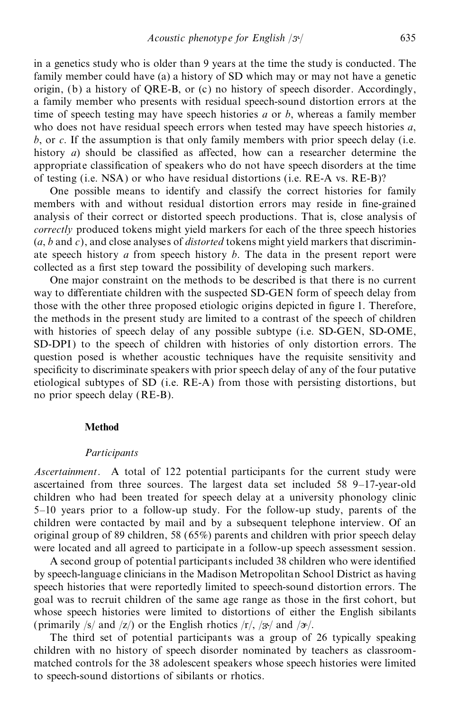in a genetics study who is older than 9 years at the time the study is conducted. The family member could have (a) a history of SD which may or may not have a genetic origin, (b) a history of QRE-B, or (c) no history of speech disorder. Accordingly, a family member who presents with residual speech-sound distortion errors at the time of speech testing may have speech histories *a* or *b*, whereas a family member who does not have residual speech errors when tested may have speech histories *a*, *b*, or *c*. If the assumption is that only family members with prior speech delay (i.e. history  $a$ ) should be classified as affected, how can a researcher determine the appropriate classification of speakers who do not have speech disorders at the time of testing (i.e. NSA) or who have residual distortions (i.e. RE-A vs.RE-B)?

One possible means to identify and classify the correct histories for family members with and without residual distortion errors may reside in fine-grained analysis of their correct or distorted speech productions. That is, close analysis of *correctly* produced tokens might yield markers for each of the three speech histories (*a*, *b* and *c*), and close analyses of *distorted* tokens might yield markers that discrimin ate speech history *a* from speech history *b*. The data in the present report were collected as a first step toward the possibility of developing such markers.

One major constraint on the methods to be described is that there is no current way to differentiate children with the suspected SD-GEN form of speech delay from those with the other three proposed etiologic origins depicted in figure 1. Therefore, the methods in the present study are limited to a contrast of the speech of children with histories of speech delay of any possible subtype (i.e. SD-GEN, SD-OME, SD-DPI) to the speech of children with histories of only distortion errors. The question posed is whether acoustic techniques have the requisite sensitivity and specificity to discriminate speakers with prior speech delay of any of the four putative etiological subtypes of SD (i.e. RE-A) from those with persisting distortions, but no prior speech delay (RE-B).

#### **Method**

#### *Participants*

*Ascertainment*. A total of 122 potential participants for the current study were ascertained from three sources. The largest data set included  $58$  9-17-year-old children who had been treated for speech delay at a university phonology clinic 5-10 years prior to a follow-up study. For the follow-up study, parents of the children were contacted by mail and by a subsequent telephone interview. Of an original group of 89 children, 58 (65%) parents and children with prior speech delay were located and all agreed to participate in a follow-up speech assessment session.

A second group of potential participants included 38 children who were identified by speech-language clinicians in the Madison Metropolitan School District as having speech histories that were reportedly limited to speech-sound distortion errors. The goal was to recruit children of the same age range as those in the first cohort, but whose speech histories were limited to distortions of either the English sibilants (primarily /s/ and /z/) or the English rhotics  $\langle r \rangle$ ,  $\langle r \rangle$  and  $\langle r \rangle$ .

The third set of potential participants was a group of 26 typically speaking children with no history of speech disorder nominated by teachers as classroom matched controls for the 38 adolescent speakers whose speech histories were limited to speech-sound distortions of sibilants or rhotics.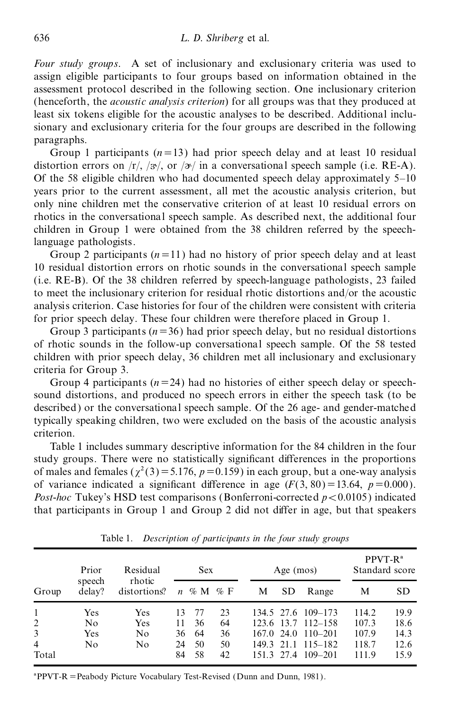*Four study groups*. A set of inclusionary and exclusionary criteria was used to assign eligible participants to four groups based on information obtained in the assessment protocol described in the following section. One inclusionary criterion (henceforth, the *acoustic analysis criterion*) for all groups was that they produced at least six tokens eligible for the acoustic analyses to be described. Additional inclusionary and exclusionary criteria for the four groups are described in the following paragraphs.

Group 1 participants  $(n=13)$  had prior speech delay and at least 10 residual distortion errors on  $\langle r \rangle$ ,  $\langle \frac{3}{2} \rangle$ , or  $\langle \frac{3}{2} \rangle$  in a conversational speech sample (i.e. RE-A). Of the 58 eligible children who had documented speech delay approximately  $5-10$ years prior to the current assessment, all met the acoustic analysis criterion, but only nine children met the conservative criterion of at least 10 residual errors on rhotics in the conversational speech sample. As described next, the additional four children in Group 1 were obtained from the 38 children referred by the speechlanguage pathologists.

Group 2 participants  $(n=11)$  had no history of prior speech delay and at least 10 residual distortion errors on rhotic sounds in the conversational speech sample (i.e. RE-B). Of the 38 children referred by speech-language pathologists, 23 failed to meet the inclusionary criterion for residual rhotic distortions and/or the acoustic analysis criterion. Case histories for four of the children were consistent with criteria for prior speech delay. These four children were therefore placed in Group 1.

Group 3 participants ( $n=36$ ) had prior speech delay, but no residual distortions of rhotic sounds in the follow-up conversational speech sample. Of the 58 tested children with prior speech delay, 36 children met all inclusionary and exclusionary criteria for Group 3.

Group 4 participants  $(n=24)$  had no histories of either speech delay or speechsound distortions, and produced no speech errors in either the speech task (to be described) or the conversational speech sample. Of the 26 age- and gender-matched typically speaking children, two were excluded on the basis of the acoustic analysis criterion.

Table 1 includes summary descriptive information for the 84 children in the four study groups. There were no statistically significant differences in the proportions of males and females ( $\chi^2(3)$  = 5.176, *p* = 0.159) in each group, but a one-way analysis of variance indicated a significant difference in age  $(F(3, 80) = 13.64, p = 0.000)$ . *Post-hoc* Tukey's HSD test comparisons (Bonferroni-corrected  $p < 0.0105$ ) indicated that participants in Group 1 and Group 2 did not differ in age, but that speakers

|                | Prior            | Residual<br>rhotic |    | <b>Sex</b>      |    |   | Age $(mos)$ |                        | $PPVT-Ra$<br>Standard score |      |
|----------------|------------------|--------------------|----|-----------------|----|---|-------------|------------------------|-----------------------------|------|
| Group          | speech<br>delay? | distortions?       |    | $n \ll M \ll F$ |    | М | <b>SD</b>   | Range                  | М                           | SD.  |
|                | Yes              | Yes                | 13 | -77             | 23 |   |             | 134.5 27.6 109-173     | 114.2                       | 19.9 |
| $\overline{c}$ | No               | Yes                | 11 | 36              | 64 |   |             | 123.6 13.7 112–158     | 107.3                       | 18.6 |
| 3              | <b>Yes</b>       | No                 | 36 | -64             | 36 |   |             | $167.0$ 24.0 $110-201$ | 107.9                       | 14.3 |
| $\overline{4}$ | No               | No                 | 24 | 50              | 50 |   |             | 149.3 21.1 115–182     | 118.7                       | 12.6 |
| Total          |                  |                    | 84 | 58              | 42 |   |             | 151.3 27.4 109-201     | 111.9                       | 15.9 |

Table 1. *Description of participants in the four study groups*

 $a^*$ PPVT-R = Peabody Picture Vocabulary Test-Revised (Dunn and Dunn, 1981).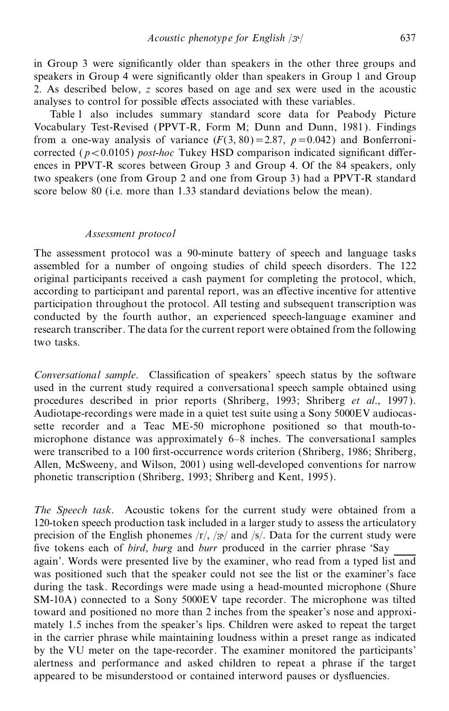in Group 3 were significantly older than speakers in the other three groups and speakers in Group 4 were significantly older than speakers in Group 1 and Group 2. As described below, *z* scores based on age and sex were used in the acoustic analyses to control for possible effects associated with these variables.

Table 1 also includes summary standard score data for Peabody Picture Vocabulary Test-Revised (PPVT-R, Form M; Dunn and Dunn, 1981). Findings from a one-way analysis of variance  $(F(3, 80)=2.87, p=0.042)$  and Bonferronicorrected ( $p < 0.0105$ ) *post-hoc* Tukey HSD comparison indicated significant differences in PPVT-R scores between Group 3 and Group 4. Of the 84 speakers, only two speakers (one from Group 2 and one from Group 3) had a PPVT-R standard score below 80 (i.e. more than 1.33 standard deviations below the mean).

#### *Assessment protocol*

The assessment protocol was a 90-minute battery of speech and language tasks assembled for a number of ongoing studies of child speech disorders. The 122 original participants received a cash payment for completing the protocol, which, according to participant and parental report, was an effective incentive for attentive participation throughout the protocol. All testing and subsequent transcription was conducted by the fourth author, an experienced speech-language examiner and research transcriber. The data for the current report were obtained from the following two tasks.

*Conversational sample*. Classification of speakers' speech status by the software used in the current study required a conversational speech sample obtained using procedures described in prior reports (Shriberg, 1993; Shriberg *et al*., 1997 ). Audiotape-recordings were made in a quiet test suite using a Sony 5000EV audiocassette recorder and a Teac ME-50 microphone positioned so that mouth-to microphone distance was approximately  $6-8$  inches. The conversational samples were transcribed to a 100 first-occurrence words criterion (Shriberg, 1986; Shriberg, Allen, McSweeny, and Wilson, 2001) using well-developed conventions for narrow phonetic transcription (Shriberg, 1993; Shriberg and Kent, 1995).

*The Speech task*. Acoustic tokens for the current study were obtained from a 120-token speech production task included in a larger study to assess the articulatory precision of the English phonemes  $\langle r \rangle$ ,  $\langle \frac{3}{2} \rangle$  and  $\langle s \rangle$ . Data for the current study were five tokens each of *bird*, *burg* and *burr* produced in the carrier phrase 'Say again'. Words were presented live by the examiner, who read from a typed list and was positioned such that the speaker could not see the list or the examiner's face during the task. Recordings were made using a head-mounted microphone (Shure SM-10A) connected to a Sony 5000EV tape recorder. The microphone was tilted toward and positioned no more than 2 inches from the speaker's nose and approxi mately 1.5 inches from the speaker's lips. Children were asked to repeat the target in the carrier phrase while maintaining loudness within a preset range as indicated by the VU meter on the tape-recorder. The examiner monitored the participants' alertness and performance and asked children to repeat a phrase if the target appeared to be misunderstood or contained interword pauses or dysfluencies.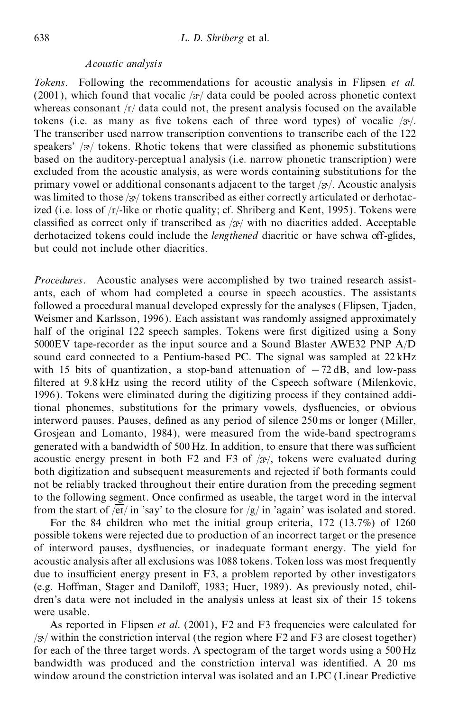## *Acoustic analysis*

*Tokens*. Following the recommendations for acoustic analysis in Flipsen *et al.* (2001), which found that vocalic  $/3$  data could be pooled across phonetic context whereas consonant  $/r/d$  data could not, the present analysis focused on the available tokens (i.e. as many as five tokens each of three word types) of vocalic  $/3$ . The transcriber used narrow transcription conventions to transcribe each of the 122 speakers'  $\sqrt{\frac{3}{5}}$  tokens. Rhotic tokens that were classified as phonemic substitutions based on the auditory-perceptua l analysis (i.e. narrow phonetic transcription) were excluded from the acoustic analysis, as were words containing substitutions for the primary vowel or additional consonants adjacent to the target  $/x'$ . Acoustic analysis was limited to those  $\frac{1}{3}$  tokens transcribed as either correctly articulated or derhotacized (i.e. loss of /r/-like or rhotic quality; cf. Shriberg and Kent, 1995). Tokens were classified as correct only if transcribed as  $/3$ <sup>t</sup> with no diacritics added. Acceptable derhotacized tokens could include the *lengthened* diacritic or have schwa off-glides, but could not include other diacritics.

*Procedures*. Acoustic analyses were accomplished by two trained research assist ants, each of whom had completed a course in speech acoustics. The assistants followed a procedural manual developed expressly for the analyses (Flipsen, Tjaden, Weismer and Karlsson, 1996). Each assistant was randomly assigned approximately half of the original 122 speech samples. Tokens were first digitized using a Sony 5000EV tape-recorder as the input source and a Sound Blaster AWE32 PNP A/D sound card connected to a Pentium-based PC. The signal was sampled at 22 kHz with 15 bits of quantization, a stop-band attenuation of  $-72 \text{ dB}$ , and low-pass filtered at  $9.8$  kHz using the record utility of the Cspeech software (Milenkovic, 1996). Tokens were eliminated during the digitizing process if they contained additional phonemes, substitutions for the primary vowels, dysfluencies, or obvious interword pauses. Pauses, defined as any period of silence  $250 \text{ ms}$  or longer (Miller, Grosjean and Lomanto, 1984), were measured from the wide-band spectrograms generated with a bandwidth of 500 Hz. In addition, to ensure that there was sufficient acoustic energy present in both F2 and F3 of  $/3$ <sup>t</sup>, tokens were evaluated during both digitization and subsequent measurements and rejected if both formants could not be reliably tracked throughout their entire duration from the preceding segment to the following segment. Once confirmed as useable, the target word in the interval from the start of  $\sqrt{eI}/$  in 'say' to the closure for  $\sqrt{g/}$  in 'again' was isolated and stored.

For the 84 children who met the initial group criteria, 172 (13.7%) of 1260 possible tokens were rejected due to production of an incorrect target or the presence of interword pauses, dysfluencies, or inadequate formant energy. The yield for acoustic analysis after all exclusions was 1088 tokens. Token loss was most frequently due to insufficient energy present in  $F3$ , a problem reported by other investigators (e.g. Hoffman, Stager and Daniloff, 1983; Huer, 1989). As previously noted, children's data were not included in the analysis unless at least six of their 15 tokens were usable.

As reported in Flipsen *et al*. (2001), F2 and F3 frequencies were calculated for  $\sqrt{\alpha}$  within the constriction interval (the region where F2 and F3 are closest together) for each of the three target words. A spectogram of the target words using a 500 Hz bandwidth was produced and the constriction interval was identified. A 20 ms window around the constriction interval was isolated and an LPC (Linear Predictive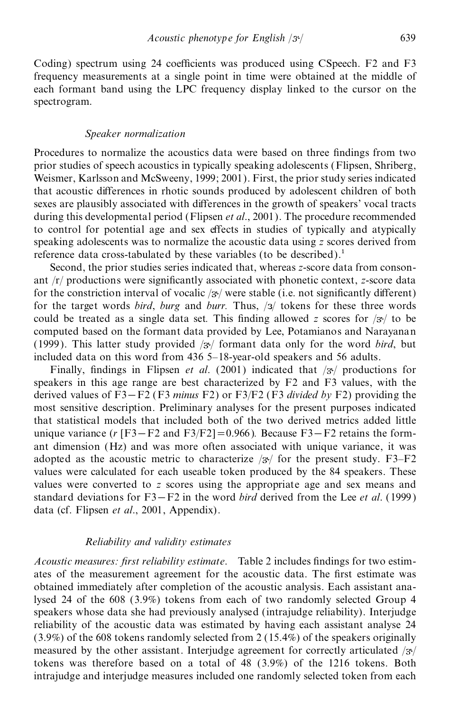Coding) spectrum using 24 coefficients was produced using CSpeech.  $F2$  and  $F3$ frequency measurements at a single point in time were obtained at the middle of each formant band using the LPC frequency display linked to the cursor on the spectrogram.

# *Speaker normalization*

Procedures to normalize the acoustics data were based on three findings from two prior studies of speech acoustics in typically speaking adolescents (Flipsen, Shriberg, Weismer, Karlsson and McSweeny, 1999; 2001). First, the prior study series indicated that acoustic differences in rhotic sounds produced by adolescent children of both sexes are plausibly associated with differences in the growth of speakers' vocal tracts during this developmental period (Flipsen *et al*., 2001). The procedure recommended to control for potential age and sex effects in studies of typically and atypically speaking adolescents was to normalize the acoustic data using *z* scores derived from reference data cross-tabulated by these variables (to be described).<sup>1</sup>

Second, the prior studies series indicated that, whereas *z*-score data from conson ant /r/ productions were significantly associated with phonetic context, *z*-score data for the constriction interval of vocalic  $/$  were stable (i.e. not significantly different) for the target words *bird*, *burg* and *burr*. Thus, /3/ tokens for these three words could be treated as a single data set. This finding allowed *z* scores for  $\frac{1}{3}$  to be computed based on the formant data provided by Lee, Potamianos and Narayanan (1999). This latter study provided  $/3$ <sup>t</sup> formant data only for the word *bird*, but included data on this word from  $436$  5-18-year-old speakers and 56 adults.

Finally, findings in Flipsen *et al.* (2001) indicated that  $\frac{1}{3}$  productions for speakers in this age range are best characterized by F2 and F3 values, with the derived values of F3 – F2 (F3 *minus* F2) or F3/F2 (F3 *divided by* F2) providing the most sensitive description. Preliminary analyses for the present purposes indicated that statistical models that included both of the two derived metrics added little unique variance  $(r [F3-F2]$  and  $F3/F2] = 0.966$  *)*. Because  $F3-F2$  retains the formant dimension (Hz) and was more often associated with unique variance, it was adopted as the acoustic metric to characterize  $/3$  for the present study. F3–F2 values were calculated for each useable token produced by the 84 speakers. These values were converted to *z* scores using the appropriate age and sex means and standard deviations for  $F3 - F2$  in the word *bird* derived from the Lee *et al.* (1999) data (cf. Flipsen *et al*., 2001, Appendix).

#### *Reliability and validity estimates*

*Acoustic measures: first reliability estimate.* Table 2 includes findings for two estimates of the measurement agreement for the acoustic data. The first estimate was obtained immediately after completion of the acoustic analysis. Each assistant analysed 24 of the 608 (3.9%) tokens from each of two randomly selected Group 4 speakers whose data she had previously analysed (intrajudge reliability). Interjudge reliability of the acoustic data was estimated by having each assistant analyse 24 (3.9%) of the 608 tokens randomly selected from 2 (15.4%) of the speakers originally measured by the other assistant. Interjudge agreement for correctly articulated  $/3$ / tokens was therefore based on a total of 48 (3.9%) of the 1216 tokens. Both intrajudge and interjudge measures included one randomly selected token from each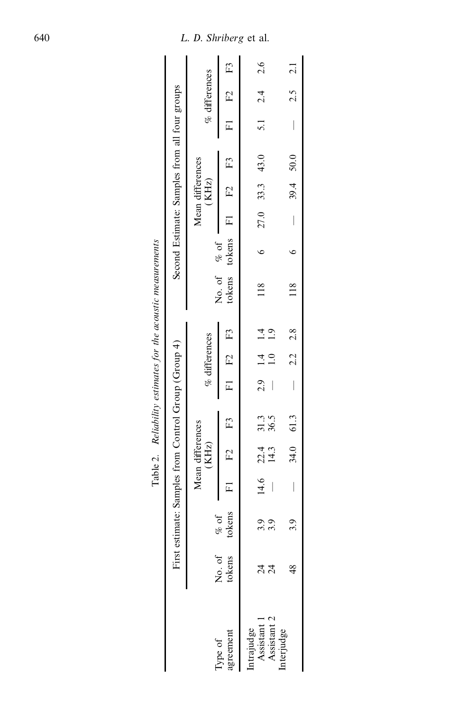|                                          |                  |                                                      |                           |                  |                          |                 |               | Table 2. Reliability estimates for the acoustic measurements |                                               |                                |                           |                                |                 |  |
|------------------------------------------|------------------|------------------------------------------------------|---------------------------|------------------|--------------------------|-----------------|---------------|--------------------------------------------------------------|-----------------------------------------------|--------------------------------|---------------------------|--------------------------------|-----------------|--|
|                                          |                  | First estimate: Samples from Control Group (Group 4) |                           |                  |                          |                 |               |                                                              | Second Estimate: Samples from all four groups |                                |                           |                                |                 |  |
|                                          |                  |                                                      | Mean differences<br>(KHz) |                  |                          | $%$ differences |               |                                                              |                                               |                                | Mean differences<br>(KHz) |                                | $%$ differences |  |
| agreement<br>Type of                     | No. of<br>tokens | tokens<br>$% \sigma _{0}=\pm \sqrt{2}$               | $F1$ $F2$                 | F3               |                          | F1 F2 F3        |               |                                                              | tokens tokens F1 F2 F3<br>No. of $\%$ of      |                                |                           |                                | $F1$ F2 F3      |  |
| Intrajudge<br>Assistant 1<br>Assistant 2 | ನ<br>ನ           | $\tilde{\mathcal{C}}$<br>C,                          | $14.6$ 22.4<br>14.3       | $31.3$<br>$36.5$ |                          | $2.9$ 1.4 1.4   | $\frac{0}{1}$ | $\frac{18}{11}$                                              | $\circ$                                       |                                | $27.0$ 33.3 43.0          |                                | 5.1 $2.4$ 2.6   |  |
| nterjudge                                | $\frac{8}{3}$    | 0                                                    | $34.0$ 61.3               |                  | $\overline{\phantom{a}}$ | $2.2\ 2.8$      |               | $\frac{18}{18}$                                              | $\check{\phantom{a}}$                         | $\begin{array}{c} \end{array}$ | 39.4 50.0                 | $\begin{array}{c} \end{array}$ | $2.5$ 2.1       |  |
|                                          |                  |                                                      |                           |                  |                          |                 |               |                                                              |                                               |                                |                           |                                |                 |  |
|                                          |                  |                                                      |                           |                  |                          |                 |               |                                                              |                                               |                                |                           |                                |                 |  |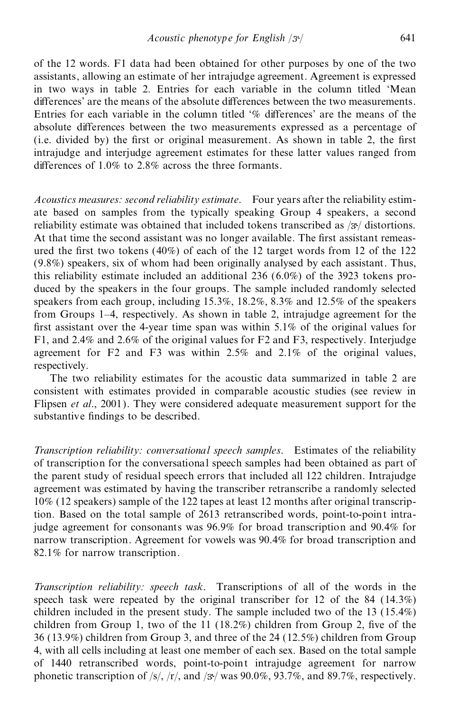of the 12 words. F1 data had been obtained for other purposes by one of the two assistants, allowing an estimate of her intrajudge agreement. Agreement is expressed in two ways in table 2. Entries for each variable in the column titled `Mean differences' are the means of the absolute differences between the two measurements. Entries for each variable in the column titled  $\%$  differences' are the means of the absolute differences between the two measurements expressed as a percentage of (i.e. divided by) the first or original measurement. As shown in table 2, the first intrajudge and interjudge agreement estimates for these latter values ranged from differences of  $1.0\%$  to 2.8% across the three formants.

*Acoustics measures: second reliability estimate*. Four years after the reliability estim ate based on samples from the typically speaking Group 4 speakers, a second reliability estimate was obtained that included tokens transcribed as  $/3$ <sup>t</sup> distortions. At that time the second assistant was no longer available. The first assistant remeasured the first two tokens  $(40%)$  of each of the 12 target words from 12 of the 122 (9.8%) speakers, six of whom had been originally analysed by each assistant. Thus, this reliability estimate included an additional 236 (6.0%) of the 3923 tokens pro duced by the speakers in the four groups. The sample included randomly selected speakers from each group, including 15.3%, 18.2%, 8.3% and 12.5% of the speakers from Groups 1-4, respectively. As shown in table 2, intrajudge agreement for the first assistant over the 4-year time span was within  $5.1\%$  of the original values for F1, and 2.4% and 2.6% of the original values for F2 and F3, respectively. Interjudge agreement for F2 and F3 was within 2.5% and 2.1% of the original values, respectively.

The two reliability estimates for the acoustic data summarized in table 2 are consistent with estimates provided in comparable acoustic studies (see review in Flipsen *et al*., 2001). They were considered adequate measurement support for the substantive findings to be described.

*Transcription reliability: conversational speech samples*. Estimates of the reliability of transcription for the conversational speech samples had been obtained as part of the parent study of residual speech errors that included all 122 children. Intrajudge agreement was estimated by having the transcriber retranscribe a randomly selected 10% (12 speakers) sample of the 122 tapes at least 12 months after original transcription. Based on the total sample of 2613 retranscribed words, point-to-point intrajudge agreement for consonants was 96.9% for broad transcription and 90.4% for narrow transcription. Agreement for vowels was 90.4% for broad transcription and 82.1% for narrow transcription.

*Transcription reliability: speech task*. Transcriptions of all of the words in the speech task were repeated by the original transcriber for 12 of the 84 (14.3%) children included in the present study. The sample included two of the 13 (15.4%) children from Group 1, two of the  $11$  (18.2%) children from Group 2, five of the 36 (13.9%) children from Group 3, and three of the 24 (12.5%) children from Group 4, with all cells including at least one member of each sex. Based on the total sample of 1440 retranscribed words, point-to-point intrajudge agreement for narrow phonetic transcription of  $\frac{s}{r}$ ,  $\frac{r}{a}$ , and  $\frac{3s}{w}$  was 90.0%, 93.7%, and 89.7%, respectively.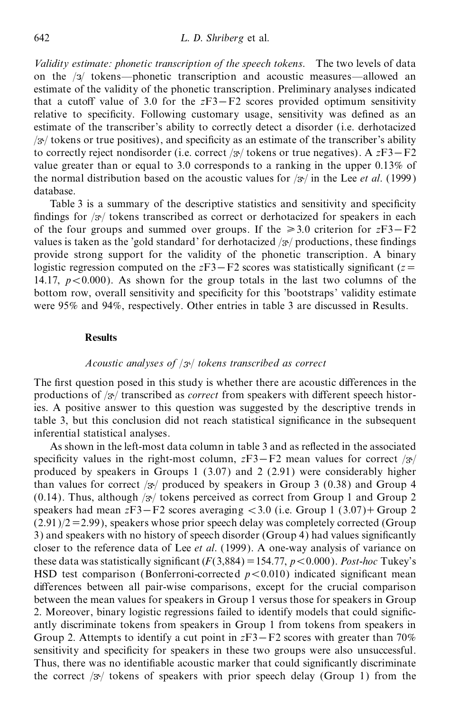*Validity estimate: phonetic transcription of the speech tokens*. The two levels of data on the  $\frac{1}{3}$  tokens—phonetic transcription and acoustic measures—allowed an estimate of the validity of the phonetic transcription. Preliminary analyses indicated that a cutoff value of 3.0 for the  $zF3-F2$  scores provided optimum sensitivity relative to specificity. Following customary usage, sensitivity was defined as an estimate of the transcriber's ability to correctly detect a disorder (i.e. derhotacized  $\frac{1}{3}$  tokens or true positives), and specificity as an estimate of the transcriber's ability to correctly reject nondisorder (i.e. correct / $\frac{\partial y}{\partial x}$  tokens or true negatives). A *z*F3–F2 value greater than or equal to 3.0 corresponds to a ranking in the upper 0.13% of the normal distribution based on the acoustic values for  $\sqrt{3}$  in the Lee *et al.* (1999) database.

Table 3 is a summary of the descriptive statistics and sensitivity and specificity findings for  $\frac{1}{3}$  tokens transcribed as correct or derhotacized for speakers in each of the four groups and summed over groups. If the  $\geq 3.0$  criterion for  $zF3-F2$ values is taken as the 'gold standard' for derhotacized  $\frac{1}{3}$  productions, these findings provide strong support for the validity of the phonetic transcription. A binary logistic regression computed on the  $zF3-F2$  scores was statistically significant ( $z=$ 14.17,  $p < 0.000$ ). As shown for the group totals in the last two columns of the bottom row, overall sensitivity and specificity for this 'bootstraps' validity estimate were 95% and 94%, respectively. Other entries in table 3 are discussed in Results.

# **Results**

# *Acoustic analyses of* / / *tokens transcribed as correct*

The first question posed in this study is whether there are acoustic differences in the productions of  $/3$ <sup>t</sup> transcribed as *correct* from speakers with different speech histories. A positive answer to this question was suggested by the descriptive trends in table 3, but this conclusion did not reach statistical significance in the subsequent inferential statistical analyses.

As shown in the left-most data column in table 3 and as reflected in the associated specificity values in the right-most column,  $zF3-F2$  mean values for correct / $\frac{3}{7}$ produced by speakers in Groups 1 (3.07) and 2 (2.91) were considerably higher than values for correct  $\frac{1}{3}$  produced by speakers in Group 3 (0.38) and Group 4 (0.14). Thus, although  $\frac{y}{x}$  tokens perceived as correct from Group 1 and Group 2 speakers had mean  $zF3-F2$  scores averaging  $<$  3.0 (i.e. Group 1 (3.07)+ Group 2  $(2.91)/2 = 2.99$ ), speakers whose prior speech delay was completely corrected (Group 3) and speakers with no history of speech disorder (Group 4) had values significantly closer to the reference data of Lee *et al*. (1999). A one-way analysis of variance on these data was statistically significant  $(F(3,884) = 154.77, p < 0.000)$ . *Post-hoc* Tukey's HSD test comparison (Bonferroni-corrected  $p < 0.010$ ) indicated significant mean differences between all pair-wise comparisons, except for the crucial comparison between the mean values for speakers in Group 1 versus those for speakers in Group 2. Moreover, binary logistic regressions failed to identify models that could significantly discriminate tokens from speakers in Group 1 from tokens from speakers in Group 2. Attempts to identify a cut point in  $zF3-F2$  scores with greater than 70% sensitivity and specificity for speakers in these two groups were also unsuccessful. Thus, there was no identifiable acoustic marker that could significantly discriminate the correct  $\sqrt{3}$  tokens of speakers with prior speech delay (Group 1) from the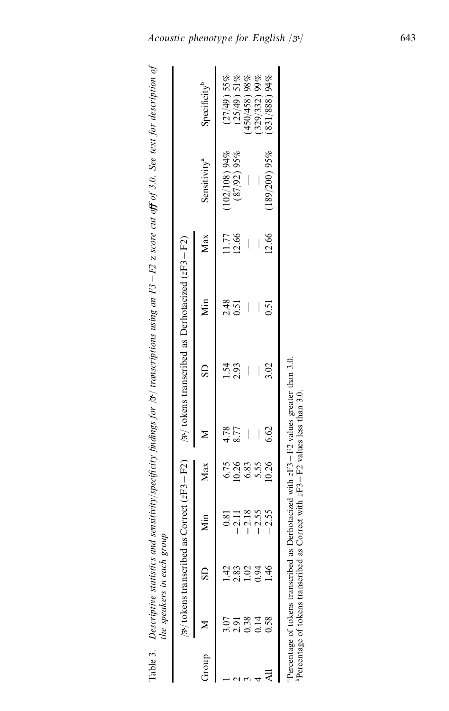|       |      |                                                                            | $\sqrt{\frac{3}{2}}$ tokens transcribed as Correct (zF3 – F2) |               |                                                       | /3 $\frac{1}{2}$ to kens transcribed as Derhotacized (zF3 – F2) |      |       |                          |                          |
|-------|------|----------------------------------------------------------------------------|---------------------------------------------------------------|---------------|-------------------------------------------------------|-----------------------------------------------------------------|------|-------|--------------------------|--------------------------|
| Group |      |                                                                            | Min                                                           | Max           |                                                       | $\overline{\text{SD}}$                                          | Мin  | Max   | Sensitivity <sup>a</sup> | Specificity <sup>b</sup> |
|       | 3.07 |                                                                            | 0.81                                                          |               |                                                       | $-54$                                                           | 2.48 | 11.77 | $(102/108)$ 94%          | $(27/49)$ 55%            |
|       | 2.91 | $\dot{83}$                                                                 | $-2.11$                                                       | 6.75<br>10.26 | 4.78<br>8.77                                          | 2.93                                                            | 0.51 | 12.66 | $(87/92)$ 95%            | $(25/49)$ 51%            |
|       | 0.38 |                                                                            | $-2.18$                                                       | 6.83          |                                                       |                                                                 |      |       |                          | 450/458) 98%             |
|       |      | 0.94                                                                       | $-2.55$                                                       | 5.55          |                                                       |                                                                 |      |       |                          | 329/332) 99%             |
|       | ).58 | خ<br>4                                                                     | $-2.55$                                                       | 10.26         | 6.62                                                  | 3.02                                                            | 0.51 | 12.66 | $(189/200)$ 95%          | 831/888) 94%             |
|       |      |                                                                            |                                                               |               | Derhotacized with $zF3 - F2$ values greater than 3.0. |                                                                 |      |       |                          |                          |
|       |      | Percentage of tokens transcribed as<br>Percentage of tokens transcribed as |                                                               |               | Correct with $zF3 - F2$ values less than 3.0.         |                                                                 |      |       |                          |                          |
|       |      |                                                                            |                                                               |               |                                                       |                                                                 |      |       |                          |                          |

*Acoustic phenotype for English*  $/3^{t}/$  643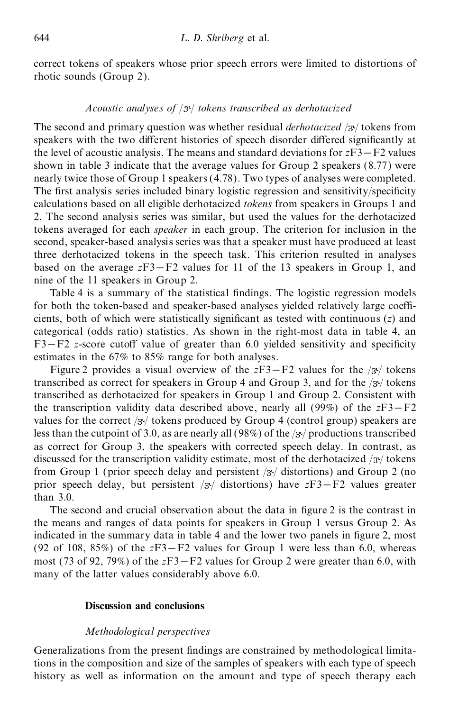correct tokens of speakers whose prior speech errors were limited to distortions of rhotic sounds (Group 2).

# *Acoustic analyses of* / / *tokens transcribed as derhotacized*

The second and primary question was whether residual *derhotacized* / $\frac{3}{7}$  tokens from speakers with the two different histories of speech disorder differed significantly at the level of acoustic analysis. The means and standard deviations for  $zF3-F2$  values shown in table 3 indicate that the average values for Group 2 speakers (8.77) were nearly twice those of Group 1 speakers (4.78). Two types of analyses were completed. The first analysis series included binary logistic regression and sensitivity/specificity calculations based on all eligible derhotacized *tokens* from speakers in Groups 1 and 2. The second analysis series was similar, but used the values for the derhotacized tokens averaged for each *speaker* in each group. The criterion for inclusion in the second, speaker-based analysis series was that a speaker must have produced at least three derhotacized tokens in the speech task. This criterion resulted in analyses based on the average  $zF3-F2$  values for 11 of the 13 speakers in Group 1, and nine of the 11 speakers in Group 2.

Table 4 is a summary of the statistical findings. The logistic regression models for both the token-based and speaker-based analyses yielded relatively large coefficients, both of which were statistically significant as tested with continuous  $(z)$  and categorical (odds ratio) statistics. As shown in the right-most data in table 4, an F3–F2 *z*-score cutoff value of greater than 6.0 yielded sensitivity and specificity estimates in the 67% to 85% range for both analyses.

Figure 2 provides a visual overview of the  $zF3-F2$  values for the  $/3$ <sup>t</sup> tokens transcribed as correct for speakers in Group 4 and Group 3, and for the  $/3$  tokens transcribed as derhotacized for speakers in Group 1 and Group 2. Consistent with the transcription validity data described above, nearly all (99%) of the  $zF3-F2$ values for the correct  $\frac{1}{3}$  tokens produced by Group 4 (control group) speakers are less than the cutpoint of 3.0, as are nearly all (98%) of the  $\frac{1}{3}$  productions transcribed as correct for Group 3, the speakers with corrected speech delay. In contrast, as discussed for the transcription validity estimate, most of the derhotacized  $/3$  tokens from Group 1 (prior speech delay and persistent  $\frac{1}{3}$  distortions) and Group 2 (no prior speech delay, but persistent  $/3$ <sup>t</sup> distortions) have  $zF3-F2$  values greater than 3.0.

The second and crucial observation about the data in figure 2 is the contrast in the means and ranges of data points for speakers in Group 1 versus Group 2. As indicated in the summary data in table 4 and the lower two panels in figure 2, most (92 of 108,  $85\%$ ) of the  $zF3-F2$  values for Group 1 were less than 6.0, whereas most (73 of 92, 79%) of the  $zF3-F2$  values for Group 2 were greater than 6.0, with many of the latter values considerably above 6.0.

# **Discussion and conclusions**

# *Methodological perspectives*

Generalizations from the present findings are constrained by methodological limitations in the composition and size of the samples of speakers with each type of speech history as well as information on the amount and type of speech therapy each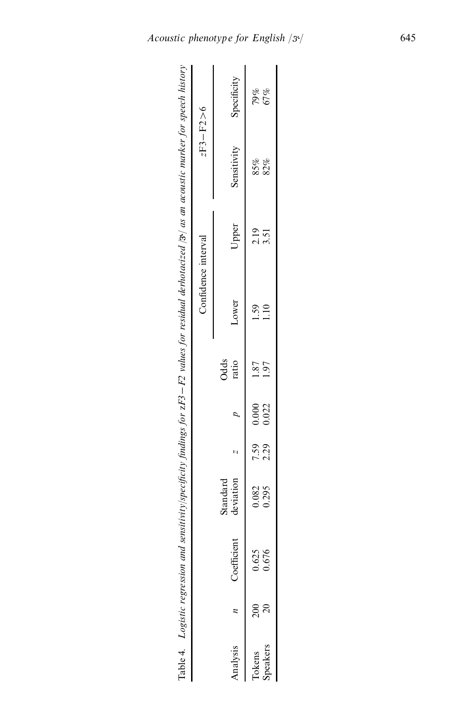|                    |                |                       |                            |               |                     |              | Table 4. Logistic regression and sensitivity/specificity findings for zF3 – F2 values for residual derhotacized /3 / as an acoustic marker for speech history |                |
|--------------------|----------------|-----------------------|----------------------------|---------------|---------------------|--------------|---------------------------------------------------------------------------------------------------------------------------------------------------------------|----------------|
|                    |                |                       |                            |               | Confidence interval |              |                                                                                                                                                               | $zF3 - F2 > 6$ |
| Analysis           | Coefficient    | deviation<br>Standard |                            | Odds<br>ratio | Lower               | Upper        | Sensitivity                                                                                                                                                   | Specificity    |
| Speakers<br>Tokens | 0.625<br>0.676 | 0.082<br>0.295        | $7.59$ 0.000<br>2.29 0.022 | 1.87<br>1.97  | 1.10<br>1.59        | 2.19<br>3.51 | 85%<br>82%                                                                                                                                                    | 79%<br>67%     |
|                    |                |                       |                            |               |                     |              |                                                                                                                                                               |                |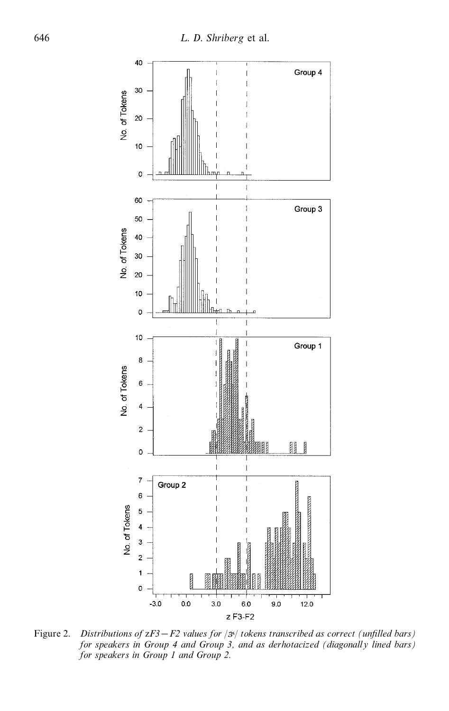

*Figure 2. Distributions of*  $zF3 - F2$  *values for*  $|3^x|$  *tokens transcribed as correct (unfilled bars) for speakers in Group 4 and Group 3, and as derhotacized (diagonally lined bars) for speakers in Group 1 and Group 2.*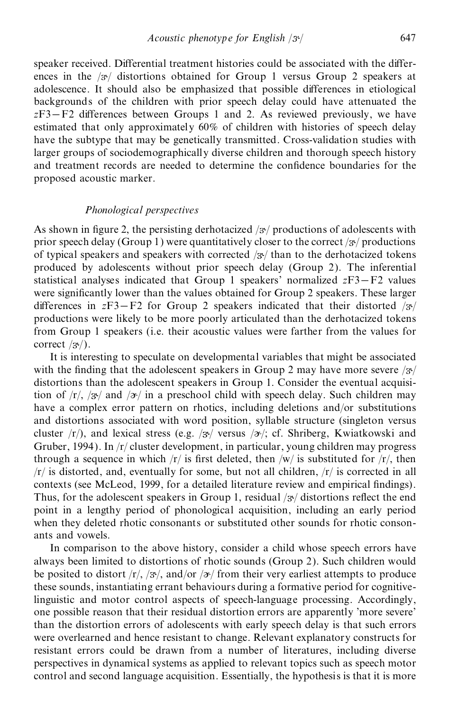speaker received. Differential treatment histories could be associated with the differences in the  $\sqrt{3}$  distortions obtained for Group 1 versus Group 2 speakers at adolescence. It should also be emphasized that possible differences in etiological backgrounds of the children with prior speech delay could have attenuated the  $zF3-F2$  differences between Groups 1 and 2. As reviewed previously, we have estimated that only approximately 60% of children with histories of speech delay have the subtype that may be genetically transmitted. Cross-validation studies with larger groups of sociodemographically diverse children and thorough speech history and treatment records are needed to determine the confidence boundaries for the proposed acoustic marker.

# *Phonological perspectives*

As shown in figure 2, the persisting derhotacized  $/3$  productions of adolescents with prior speech delay (Group 1) were quantitatively closer to the correct  $\frac{1}{3}$  productions of typical speakers and speakers with corrected  $/3$  than to the derhotacized tokens produced by adolescents without prior speech delay (Group 2). The inferential statistical analyses indicated that Group 1 speakers' normalized  $zF3-F2$  values were significantly lower than the values obtained for Group 2 speakers. These larger differences in  $zF3-F2$  for Group 2 speakers indicated that their distorted / $3/$ productions were likely to be more poorly articulated than the derhotacized tokens from Group 1 speakers (i.e. their acoustic values were farther from the values for correct  $/3$ .

It is interesting to speculate on developmental variables that might be associated with the finding that the adolescent speakers in Group 2 may have more severe  $/3/$ distortions than the adolescent speakers in Group 1. Consider the eventual acquisition of  $\langle r \rangle$ ,  $\langle 3r \rangle$  and  $\langle 2r \rangle$  in a preschool child with speech delay. Such children may have a complex error pattern on rhotics, including deletions and/or substitutions and distortions associated with word position, syllable structure (singleton versus cluster  $\langle r \rangle$ , and lexical stress (e.g.  $\langle 3 \rangle$  versus  $\langle 3 \rangle$ ; cf. Shriberg, Kwiatkowski and Gruber, 1994). In /r/ cluster development, in particular, young children may progress through a sequence in which  $/r/$  is first deleted, then  $/w/$  is substituted for  $/r/$ , then  $/r/$  is distorted, and, eventually for some, but not all children,  $/r/$  is corrected in all contexts (see McLeod, 1999, for a detailed literature review and empirical findings). Thus, for the adolescent speakers in Group 1, residual  $/3$  distortions reflect the end point in a lengthy period of phonological acquisition, including an early period when they deleted rhotic consonants or substituted other sounds for rhotic conson ants and vowels.

In comparison to the above history, consider a child whose speech errors have always been limited to distortions of rhotic sounds (Group 2). Such children would be posited to distort  $\langle r \rangle$ ,  $\langle r \rangle$ , and/or  $\langle r \rangle$  from their very earliest attempts to produce these sounds, instantiating errant behaviours during a formative period for cognitivelinguistic and motor control aspects of speech-language processing. Accordingly, one possible reason that their residual distortion errors are apparently 'more severe' than the distortion errors of adolescents with early speech delay is that such errors were overlearned and hence resistant to change. Relevant explanatory constructs for resistant errors could be drawn from a number of literatures, including diverse perspectives in dynamical systems as applied to relevant topics such as speech motor control and second language acquisition. Essentially, the hypothesis is that it is more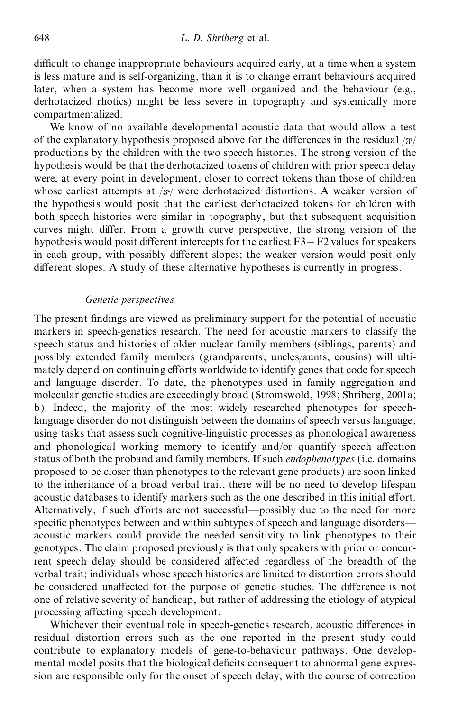difficult to change inappropriate behaviours acquired early, at a time when a system is less mature and is self-organizing, than it is to change errant behaviours acquired later, when a system has become more well organized and the behaviour (e.g., derhotacized rhotics) might be less severe in topography and systemically more compartmentalized.

We know of no available developmental acoustic data that would allow a test of the explanatory hypothesis proposed above for the differences in the residual  $/3$ productions by the children with the two speech histories. The strong version of the hypothesis would be that the derhotacized tokens of children with prior speech delay were, at every point in development, closer to correct tokens than those of children whose earliest attempts at  $/3$  were derhotacized distortions. A weaker version of the hypothesis would posit that the earliest derhotacized tokens for children with both speech histories were similar in topography, but that subsequent acquisition curves might differ. From a growth curve perspective, the strong version of the hypothesis would posit different intercepts for the earliest  $F3-F2$  values for speakers in each group, with possibly different slopes; the weaker version would posit only different slopes. A study of these alternative hypotheses is currently in progress.

# *Genetic perspectives*

The present findings are viewed as preliminary support for the potential of acoustic markers in speech-genetics research. The need for acoustic markers to classify the speech status and histories of older nuclear family members (siblings, parents) and possibly extended family members (grandparents, uncles/aunts, cousins) will ulti mately depend on continuing efforts worldwide to identify genes that code for speech and language disorder. To date, the phenotypes used in family aggregation and molecular genetic studies are exceedingly broad (Stromswold, 1998; Shriberg, 2001a; b). Indeed, the majority of the most widely researched phenotypes for speechlanguage disorder do not distinguish between the domains of speech versus language, using tasks that assess such cognitive-linguistic processes as phonological awareness and phonological working memory to identify and/or quantify speech affection status of both the proband and family members. If such *endophenotypes* (i.e. domains proposed to be closer than phenotypes to the relevant gene products) are soon linked to the inheritance of a broad verbal trait, there will be no need to develop lifespan acoustic databases to identify markers such as the one described in this initial effort. Alternatively, if such efforts are not successful—possibly due to the need for more specific phenotypes between and within subtypes of speech and language disorders acoustic markers could provide the needed sensitivity to link phenotypes to their genotypes. The claim proposed previously is that only speakers with prior or concurrent speech delay should be considered affected regardless of the breadth of the verbal trait; individuals whose speech histories are limited to distortion errors should be considered unaffected for the purpose of genetic studies. The difference is not one of relative severity of handicap, but rather of addressing the etiology of atypical processing affecting speech development.

Whichever their eventual role in speech-genetics research, acoustic differences in residual distortion errors such as the one reported in the present study could contribute to explanatory models of gene-to-behaviour pathways. One develop mental model posits that the biological deficits consequent to abnormal gene expression are responsible only for the onset of speech delay, with the course of correction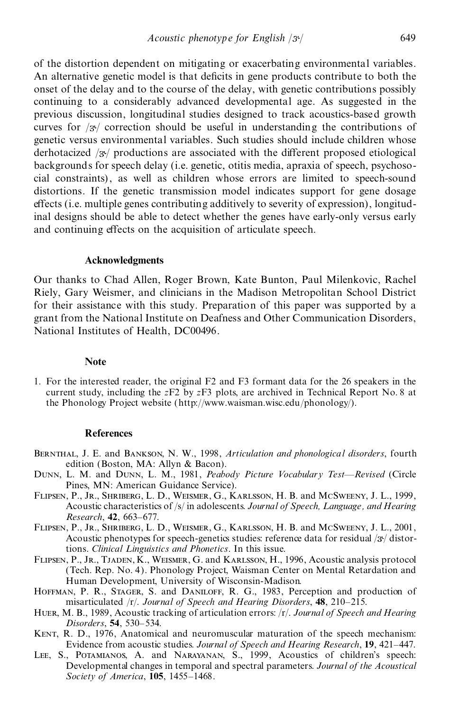of the distortion dependent on mitigating or exacerbating environmental variables. An alternative genetic model is that deficits in gene products contribute to both the onset of the delay and to the course of the delay, with genetic contributions possibly continuing to a considerably advanced developmental age. As suggested in the previous discussion, longitudinal studies designed to track acoustics-based growth curves for  $\sqrt{3}$  correction should be useful in understanding the contributions of genetic versus environmental variables. Such studies should include children whose derhotacized  $/3$  productions are associated with the different proposed etiological backgrounds for speech delay (i.e. genetic, otitis media, apraxia of speech, psychoso cial constraints), as well as children whose errors are limited to speech-sound distortions. If the genetic transmission model indicates support for gene dosage effects (i.e. multiple genes contributing additively to severity of expression), longitudinal designs should be able to detect whether the genes have early-only versus early and continuing effects on the acquisition of articulate speech.

#### **Acknowledgments**

Our thanks to Chad Allen, Roger Brown, Kate Bunton, Paul Milenkovic, Rachel Riely, Gary Weismer, and clinicians in the Madison Metropolitan School District for their assistance with this study. Preparation of this paper was supported by a grant from the National Institute on Deafness and Other Communication Disorders, National Institutes of Health, DC00496.

#### **Note**

1. For the interested reader, the original F2 and F3 formant data for the 26 speakers in the current study, including the *z*F2 by *z*F3 plots, are archived in Technical Report No. 8 at the Phonology Project website (http://www.waisman.wisc.edu/phonology/).

#### **References**

- Bernthal, J. E. and Bankson, N. W., 1998, *Articulation and phonological disorders*, fourth edition (Boston, MA: Allyn & Bacon).
- DUNN, L. M. and DUNN, L. M., 1981, *Peabody Picture Vocabulary Test-Revised* (Circle Pines, MN: American Guidance Service).
- Flipsen, P., Jr., Shriberg, L. D., Weismer, G., Karlsson, H. B. and McSweeny, J. L., 1999, Acoustic characteristics of /s/ in adolescents. *Journal of Speech, Language, and Hearing Research*, **42**, 663-677.
- Flipsen, P., Jr., Shriberg, L. D., Weismer, G., Karlsson, H. B. and McSweeny, J. L., 2001, Acoustic phenotypes for speech-genetics studies: reference data for residual  $/3$  $\frac{1}{3}$  distortions. *Clinical Linguistics and Phonetics*. In this issue.
- Flipsen, P., Jr., Tjaden, K., Weismer, G. and Karlsson, H., 1996, Acoustic analysis protocol (Tech. Rep. No. 4). Phonology Project, Waisman Center on Mental Retardation and Human Development, University of Wisconsin-Madison.
- Hoffman, P. R., Stager, S. and Daniloff, R. G., 1983, Perception and production of misarticulated /r/. *Journal of Speech and Hearing Disorders*, 48, 210-215.
- Huer, M. B., 1989, Acoustic tracking of articulation errors: /r/. *Journal of Speech and Hearing Disorders*, 54, 530-534.
- KENT, R. D., 1976, Anatomical and neuromuscular maturation of the speech mechanism: Evidence from acoustic studies. Journal of Speech and Hearing Research, 19, 421-447.
- Lee, S., Potamianos, A. and Narayanan, S., 1999, Acoustics of children's speech: Developmental changes in temporal and spectral parameters. *Journal of the Acoustical Society of America*, **105**, 1455-1468.